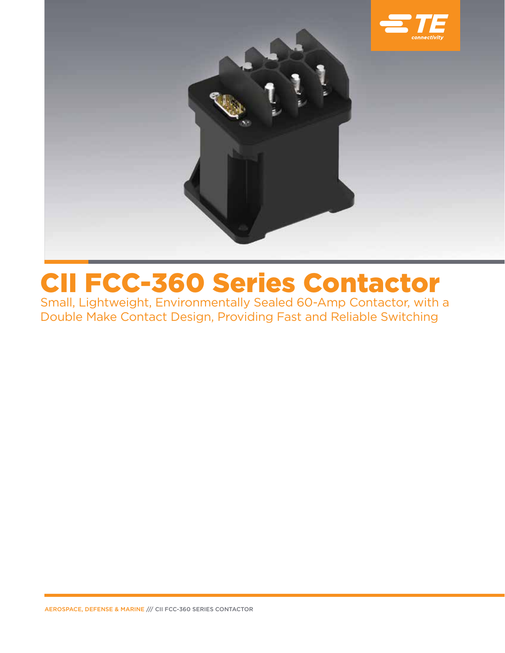

# CII FCC-360 Series Contactor

Small, Lightweight, Environmentally Sealed 60-Amp Contactor, with a Double Make Contact Design, Providing Fast and Reliable Switching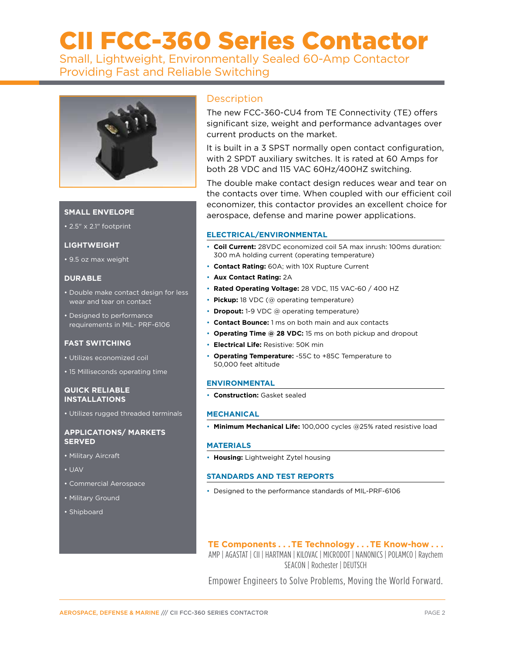# CII FCC-360 Series Contactor

Small, Lightweight, Environmentally Sealed 60-Amp Contactor Providing Fast and Reliable Switching



# **SMALL ENVELOPE**

• 2.5" x 2.1" footprint

#### **LIGHTWEIGHT**

• 9.5 oz max weight

### **DURABLE**

- Double make contact design for less wear and tear on contact
- Designed to performance requirements in MIL- PRF-6106

#### **FAST SWITCHING**

- Utilizes economized coil
- 15 Milliseconds operating time

## **QUICK RELIABLE INSTALLATIONS**

• Utilizes rugged threaded terminals

#### **APPLICATIONS/ MARKETS SERVED**

- Military Aircraft
- UAV
- Commercial Aerospace
- Military Ground
- Shipboard

# **Description**

The new FCC-360-CU4 from TE Connectivity (TE) offers significant size, weight and performance advantages over current products on the market.

It is built in a 3 SPST normally open contact configuration, with 2 SPDT auxiliary switches. It is rated at 60 Amps for both 28 VDC and 115 VAC 60Hz/400HZ switching.

The double make contact design reduces wear and tear on the contacts over time. When coupled with our efficient coil economizer, this contactor provides an excellent choice for aerospace, defense and marine power applications.

## **ELECTRICAL/ENVIRONMENTAL**

- **Coil Current:** 28VDC economized coil 5A max inrush: 100ms duration: 300 mA holding current (operating temperature)
- **Contact Rating:** 60A; with 10X Rupture Current
- **Aux Contact Rating:** 2A
- **Rated Operating Voltage:** 28 VDC, 115 VAC-60 / 400 HZ
- **Pickup:** 18 VDC (@ operating temperature)
- **Dropout:** 1-9 VDC @ operating temperature)
- **Contact Bounce:** 1 ms on both main and aux contacts
- **Operating Time @ 28 VDC:** 15 ms on both pickup and dropout
- **Electrical Life:** Resistive: 50K min
- **Operating Temperature:** -55C to +85C Temperature to 50,000 feet altitude

## **ENVIRONMENTAL**

• **Construction:** Gasket sealed

#### **MECHANICAL**

• **Minimum Mechanical Life:** 100,000 cycles @25% rated resistive load

#### **MATERIALS**

• **Housing:** Lightweight Zytel housing

## **STANDARDS AND TEST REPORTS**

• Designed to the performance standards of MIL-PRF-6106

# **TE Components . . . TE Technology . . . TE Know-how . . .**

AMP | AGASTAT | CII | HARTMAN | KILOVAC | MICRODOT | NANONICS | POLAMCO | Raychem SEACON | Rochester | DEUTSCH

Empower Engineers to Solve Problems, Moving the World Forward.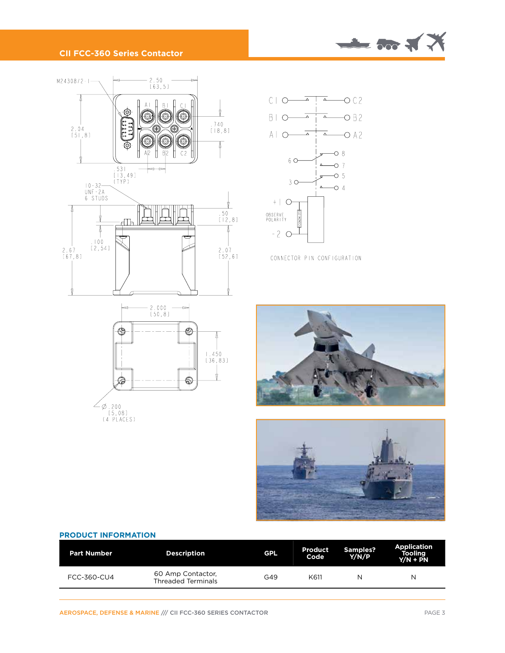

# **CII FCC-360 Series Contactor**





CONNECTOR PIN CONFIGURATION





#### **PRODUCT INFORMATION**

| <b>Part Number</b> | <b>Description</b>                             | <b>GPL</b> | <b>Product</b><br>Code | Samples?<br>Y/N/P | <b>Application</b><br><b>Tooling</b><br>$Y/N + PN$ |
|--------------------|------------------------------------------------|------------|------------------------|-------------------|----------------------------------------------------|
| FCC-360-CU4        | 60 Amp Contactor.<br><b>Threaded Terminals</b> | G49        | K611                   | N                 | N                                                  |